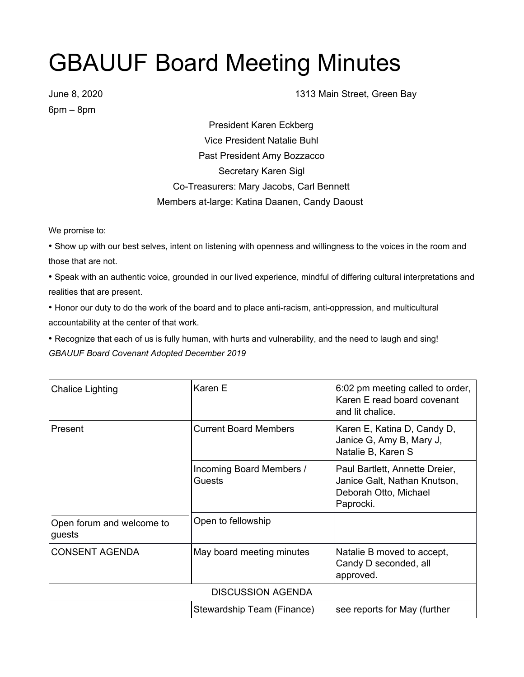## GBAUUF Board Meeting Minutes

6pm – 8pm

June 8, 2020 **1313 Main Street, Green Bay** 

President Karen Eckberg Vice President Natalie Buhl Past President Amy Bozzacco Secretary Karen Sigl Co-Treasurers: Mary Jacobs, Carl Bennett Members at-large: Katina Daanen, Candy Daoust

We promise to:

• Show up with our best selves, intent on listening with openness and willingness to the voices in the room and those that are not.

• Speak with an authentic voice, grounded in our lived experience, mindful of differing cultural interpretations and realities that are present.

• Honor our duty to do the work of the board and to place anti-racism, anti-oppression, and multicultural accountability at the center of that work.

• Recognize that each of us is fully human, with hurts and vulnerability, and the need to laugh and sing! *GBAUUF Board Covenant Adopted December 2019*

| Chalice Lighting                    | Karen E                            | 6:02 pm meeting called to order,<br>Karen E read board covenant<br>and lit chalice.                  |
|-------------------------------------|------------------------------------|------------------------------------------------------------------------------------------------------|
| Present                             | <b>Current Board Members</b>       | Karen E, Katina D, Candy D,<br>Janice G, Amy B, Mary J,<br>Natalie B, Karen S                        |
|                                     | Incoming Board Members /<br>Guests | Paul Bartlett, Annette Dreier,<br>Janice Galt, Nathan Knutson,<br>Deborah Otto, Michael<br>Paprocki. |
| Open forum and welcome to<br>guests | Open to fellowship                 |                                                                                                      |
| <b>CONSENT AGENDA</b>               | May board meeting minutes          | Natalie B moved to accept,<br>Candy D seconded, all<br>approved.                                     |
| <b>DISCUSSION AGENDA</b>            |                                    |                                                                                                      |
|                                     | Stewardship Team (Finance)         | see reports for May (further                                                                         |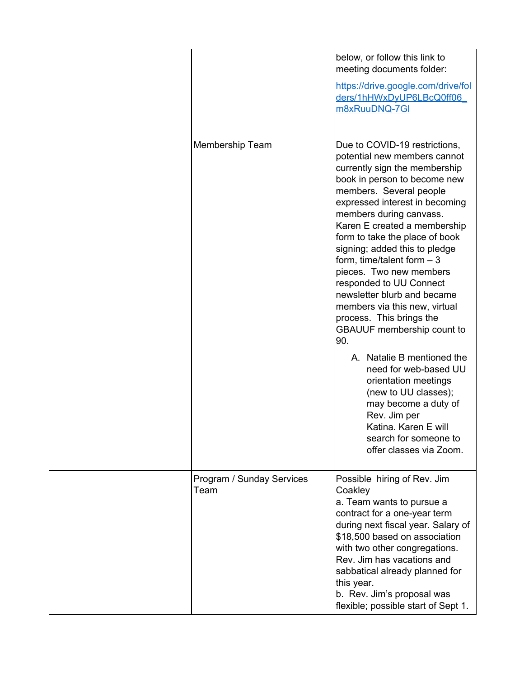|                                   | below, or follow this link to<br>meeting documents folder:<br>https://drive.google.com/drive/fol<br>ders/1hHWxDyUP6LBcQ0ff06<br>m8xRuuDNQ-7GI                                                                                                                                                                                                                                                                                                                                                                                                                                                                                                                                                                                                                              |
|-----------------------------------|----------------------------------------------------------------------------------------------------------------------------------------------------------------------------------------------------------------------------------------------------------------------------------------------------------------------------------------------------------------------------------------------------------------------------------------------------------------------------------------------------------------------------------------------------------------------------------------------------------------------------------------------------------------------------------------------------------------------------------------------------------------------------|
| Membership Team                   | Due to COVID-19 restrictions,<br>potential new members cannot<br>currently sign the membership<br>book in person to become new<br>members. Several people<br>expressed interest in becoming<br>members during canvass.<br>Karen E created a membership<br>form to take the place of book<br>signing; added this to pledge<br>form, time/talent form $-3$<br>pieces. Two new members<br>responded to UU Connect<br>newsletter blurb and became<br>members via this new, virtual<br>process. This brings the<br>GBAUUF membership count to<br>90.<br>A. Natalie B mentioned the<br>need for web-based UU<br>orientation meetings<br>(new to UU classes);<br>may become a duty of<br>Rev. Jim per<br>Katina, Karen E will<br>search for someone to<br>offer classes via Zoom. |
|                                   |                                                                                                                                                                                                                                                                                                                                                                                                                                                                                                                                                                                                                                                                                                                                                                            |
| Program / Sunday Services<br>Team | Possible hiring of Rev. Jim<br>Coakley<br>a. Team wants to pursue a<br>contract for a one-year term<br>during next fiscal year. Salary of<br>\$18,500 based on association<br>with two other congregations.<br>Rev. Jim has vacations and<br>sabbatical already planned for<br>this year.<br>b. Rev. Jim's proposal was<br>flexible; possible start of Sept 1.                                                                                                                                                                                                                                                                                                                                                                                                             |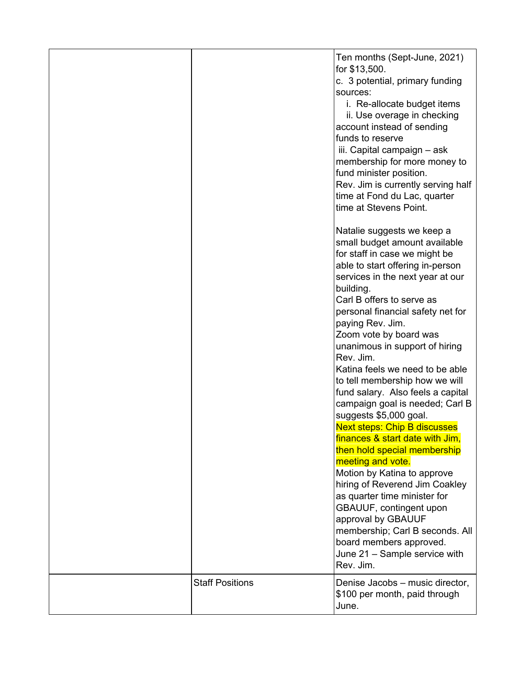|                        | Ten months (Sept-June, 2021)<br>for \$13,500.<br>c. 3 potential, primary funding<br>sources:<br>i. Re-allocate budget items<br>ii. Use overage in checking<br>account instead of sending<br>funds to reserve<br>iii. Capital campaign - ask<br>membership for more money to<br>fund minister position.<br>Rev. Jim is currently serving half<br>time at Fond du Lac, quarter                                                                                                                                                                                                                                                                                                                                                                                                                                                                                                                                                                                                      |
|------------------------|-----------------------------------------------------------------------------------------------------------------------------------------------------------------------------------------------------------------------------------------------------------------------------------------------------------------------------------------------------------------------------------------------------------------------------------------------------------------------------------------------------------------------------------------------------------------------------------------------------------------------------------------------------------------------------------------------------------------------------------------------------------------------------------------------------------------------------------------------------------------------------------------------------------------------------------------------------------------------------------|
| <b>Staff Positions</b> | time at Stevens Point.<br>Natalie suggests we keep a<br>small budget amount available<br>for staff in case we might be<br>able to start offering in-person<br>services in the next year at our<br>building.<br>Carl B offers to serve as<br>personal financial safety net for<br>paying Rev. Jim.<br>Zoom vote by board was<br>unanimous in support of hiring<br>Rev. Jim.<br>Katina feels we need to be able<br>to tell membership how we will<br>fund salary. Also feels a capital<br>campaign goal is needed; Carl B<br>suggests \$5,000 goal.<br><b>Next steps: Chip B discusses</b><br>finances & start date with Jim,<br>then hold special membership<br>meeting and vote.<br>Motion by Katina to approve<br>hiring of Reverend Jim Coakley<br>as quarter time minister for<br>GBAUUF, contingent upon<br>approval by GBAUUF<br>membership; Carl B seconds. All<br>board members approved.<br>June 21 - Sample service with<br>Rev. Jim.<br>Denise Jacobs - music director, |
|                        | \$100 per month, paid through<br>June.                                                                                                                                                                                                                                                                                                                                                                                                                                                                                                                                                                                                                                                                                                                                                                                                                                                                                                                                            |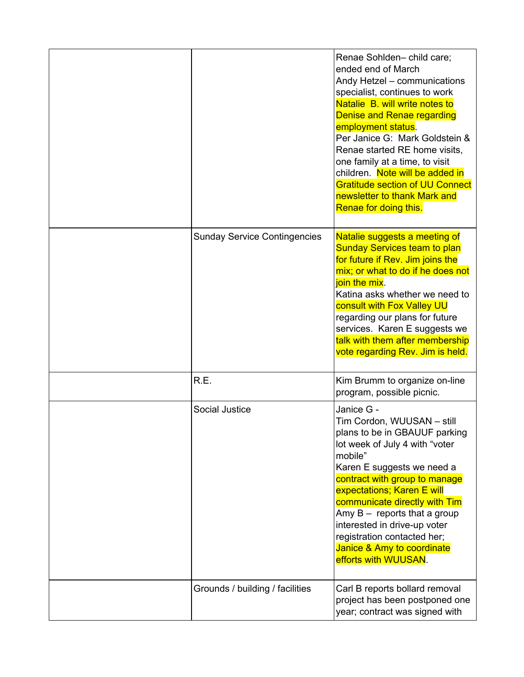|                                     | Renae Sohlden-child care;<br>ended end of March<br>Andy Hetzel - communications<br>specialist, continues to work<br>Natalie B. will write notes to<br>Denise and Renae regarding<br>employment status.<br>Per Janice G: Mark Goldstein &<br>Renae started RE home visits,<br>one family at a time, to visit<br>children. Note will be added in<br><b>Gratitude section of UU Connect</b><br>newsletter to thank Mark and<br>Renae for doing this. |
|-------------------------------------|---------------------------------------------------------------------------------------------------------------------------------------------------------------------------------------------------------------------------------------------------------------------------------------------------------------------------------------------------------------------------------------------------------------------------------------------------|
| <b>Sunday Service Contingencies</b> | Natalie suggests a meeting of<br><b>Sunday Services team to plan</b><br>for future if Rev. Jim joins the<br>mix; or what to do if he does not<br>join the mix.<br>Katina asks whether we need to<br>consult with Fox Valley UU<br>regarding our plans for future<br>services. Karen E suggests we<br>talk with them after membership<br>vote regarding Rev. Jim is held.                                                                          |
| R.E.                                | Kim Brumm to organize on-line<br>program, possible picnic.                                                                                                                                                                                                                                                                                                                                                                                        |
| Social Justice                      | Janice G -<br>Tim Cordon, WUUSAN - still<br>plans to be in GBAUUF parking<br>lot week of July 4 with "voter<br>mobile"<br>Karen E suggests we need a<br>contract with group to manage<br>expectations; Karen E will<br>communicate directly with Tim<br>Amy $B -$ reports that a group<br>interested in drive-up voter<br>registration contacted her;<br>Janice & Amy to coordinate<br>efforts with WUUSAN.                                       |
| Grounds / building / facilities     | Carl B reports bollard removal<br>project has been postponed one<br>year; contract was signed with                                                                                                                                                                                                                                                                                                                                                |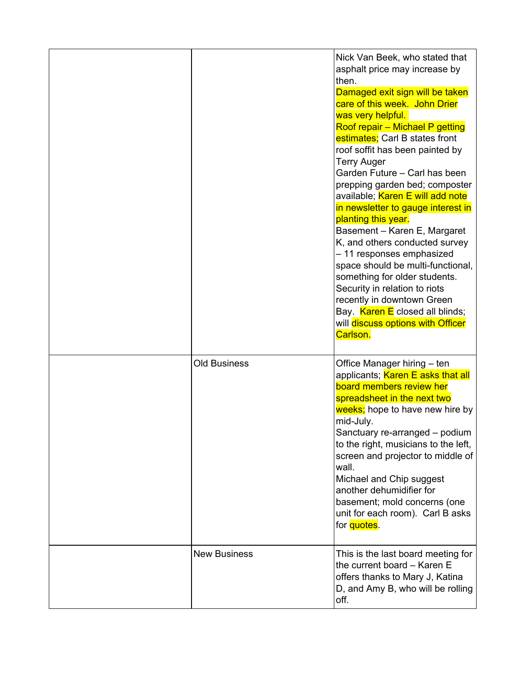|                     | Nick Van Beek, who stated that<br>asphalt price may increase by<br>then.<br>Damaged exit sign will be taken<br>care of this week. John Drier<br>was very helpful.<br>Roof repair - Michael P getting<br>estimates; Carl B states front<br>roof soffit has been painted by<br><b>Terry Auger</b><br>Garden Future - Carl has been<br>prepping garden bed; composter<br>available; Karen E will add note<br>in newsletter to gauge interest in<br>planting this year.<br>Basement - Karen E, Margaret<br>K, and others conducted survey<br>- 11 responses emphasized<br>space should be multi-functional,<br>something for older students.<br>Security in relation to riots<br>recently in downtown Green<br>Bay. Karen E closed all blinds;<br>will discuss options with Officer<br>Carlson. |
|---------------------|---------------------------------------------------------------------------------------------------------------------------------------------------------------------------------------------------------------------------------------------------------------------------------------------------------------------------------------------------------------------------------------------------------------------------------------------------------------------------------------------------------------------------------------------------------------------------------------------------------------------------------------------------------------------------------------------------------------------------------------------------------------------------------------------|
| <b>Old Business</b> | Office Manager hiring - ten<br>applicants; Karen E asks that all<br>board members review her<br>spreadsheet in the next two<br>weeks; hope to have new hire by<br>mid-July.<br>Sanctuary re-arranged - podium<br>to the right, musicians to the left,<br>screen and projector to middle of<br>wall.<br>Michael and Chip suggest<br>another dehumidifier for<br>basement; mold concerns (one<br>unit for each room). Carl B asks<br>for quotes.                                                                                                                                                                                                                                                                                                                                              |
| <b>New Business</b> | This is the last board meeting for<br>the current board - Karen E<br>offers thanks to Mary J, Katina<br>D, and Amy B, who will be rolling<br>off.                                                                                                                                                                                                                                                                                                                                                                                                                                                                                                                                                                                                                                           |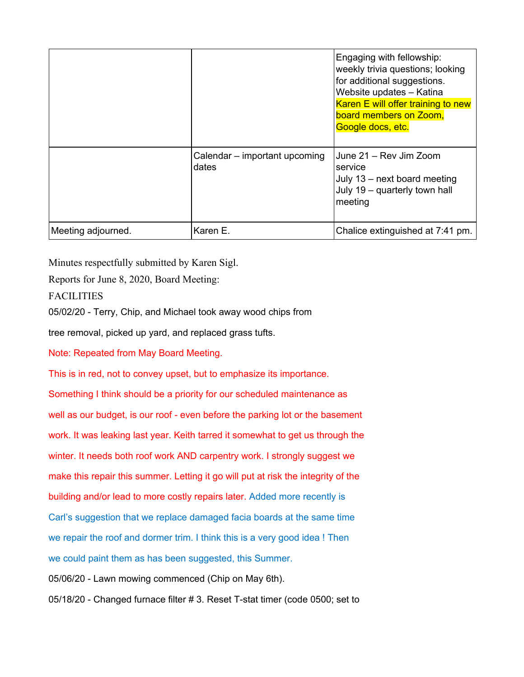|                    |                                        | Engaging with fellowship:<br>weekly trivia questions; looking<br>for additional suggestions.<br>Website updates - Katina<br>Karen E will offer training to new<br>board members on Zoom,<br>Google docs, etc. |
|--------------------|----------------------------------------|---------------------------------------------------------------------------------------------------------------------------------------------------------------------------------------------------------------|
|                    | Calendar - important upcoming<br>dates | June 21 – Rev Jim Zoom<br>service<br>July 13 - next board meeting<br>July 19 - quarterly town hall<br>meeting                                                                                                 |
| Meeting adjourned. | Karen E.                               | Chalice extinguished at 7:41 pm.                                                                                                                                                                              |

Minutes respectfully submitted by Karen Sigl.

Reports for June 8, 2020, Board Meeting:

**FACILITIES** 

05/02/20 - Terry, Chip, and Michael took away wood chips from

tree removal, picked up yard, and replaced grass tufts.

Note: Repeated from May Board Meeting.

This is in red, not to convey upset, but to emphasize its importance.

Something I think should be a priority for our scheduled maintenance as well as our budget, is our roof - even before the parking lot or the basement work. It was leaking last year. Keith tarred it somewhat to get us through the winter. It needs both roof work AND carpentry work. I strongly suggest we make this repair this summer. Letting it go will put at risk the integrity of the building and/or lead to more costly repairs later. Added more recently is Carl's suggestion that we replace damaged facia boards at the same time we repair the roof and dormer trim. I think this is a very good idea ! Then we could paint them as has been suggested, this Summer. 05/06/20 - Lawn mowing commenced (Chip on May 6th). 05/18/20 - Changed furnace filter # 3. Reset T-stat timer (code 0500; set to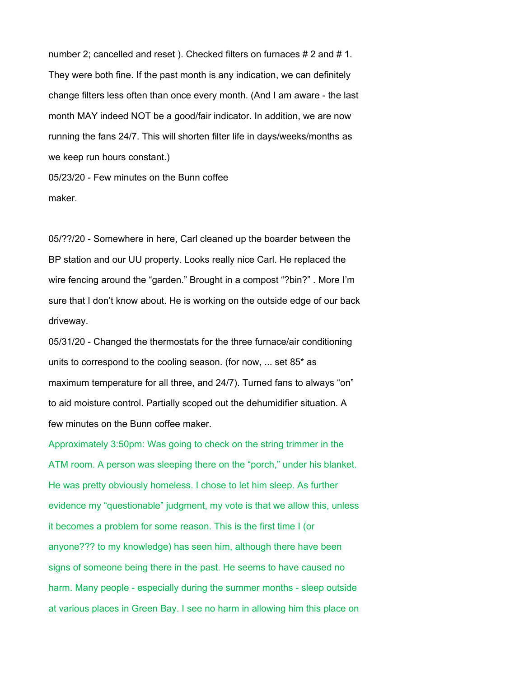number 2; cancelled and reset ). Checked filters on furnaces # 2 and # 1. They were both fine. If the past month is any indication, we can definitely change filters less often than once every month. (And I am aware - the last month MAY indeed NOT be a good/fair indicator. In addition, we are now running the fans 24/7. This will shorten filter life in days/weeks/months as we keep run hours constant.) 05/23/20 - Few minutes on the Bunn coffee

maker.

05/??/20 - Somewhere in here, Carl cleaned up the boarder between the BP station and our UU property. Looks really nice Carl. He replaced the wire fencing around the "garden." Brought in a compost "?bin?" . More I'm sure that I don't know about. He is working on the outside edge of our back driveway.

05/31/20 - Changed the thermostats for the three furnace/air conditioning units to correspond to the cooling season. (for now, ... set 85\* as maximum temperature for all three, and 24/7). Turned fans to always "on" to aid moisture control. Partially scoped out the dehumidifier situation. A few minutes on the Bunn coffee maker.

Approximately 3:50pm: Was going to check on the string trimmer in the ATM room. A person was sleeping there on the "porch," under his blanket. He was pretty obviously homeless. I chose to let him sleep. As further evidence my "questionable" judgment, my vote is that we allow this, unless it becomes a problem for some reason. This is the first time I (or anyone??? to my knowledge) has seen him, although there have been signs of someone being there in the past. He seems to have caused no harm. Many people - especially during the summer months - sleep outside at various places in Green Bay. I see no harm in allowing him this place on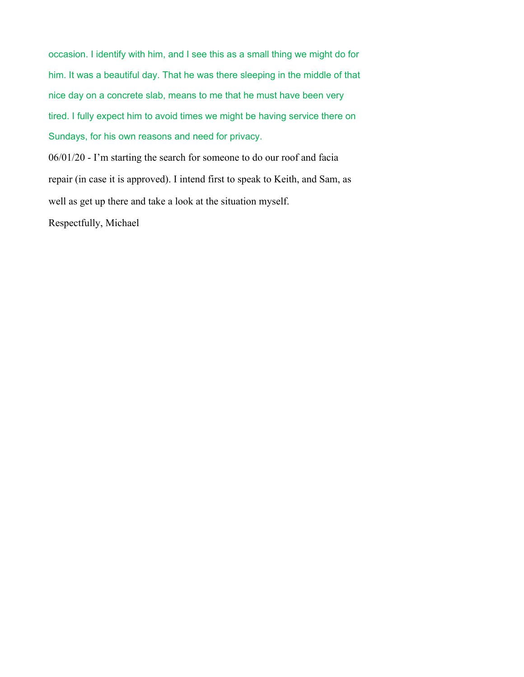occasion. I identify with him, and I see this as a small thing we might do for him. It was a beautiful day. That he was there sleeping in the middle of that nice day on a concrete slab, means to me that he must have been very tired. I fully expect him to avoid times we might be having service there on Sundays, for his own reasons and need for privacy.

06/01/20 - I'm starting the search for someone to do our roof and facia repair (in case it is approved). I intend first to speak to Keith, and Sam, as well as get up there and take a look at the situation myself.

Respectfully, Michael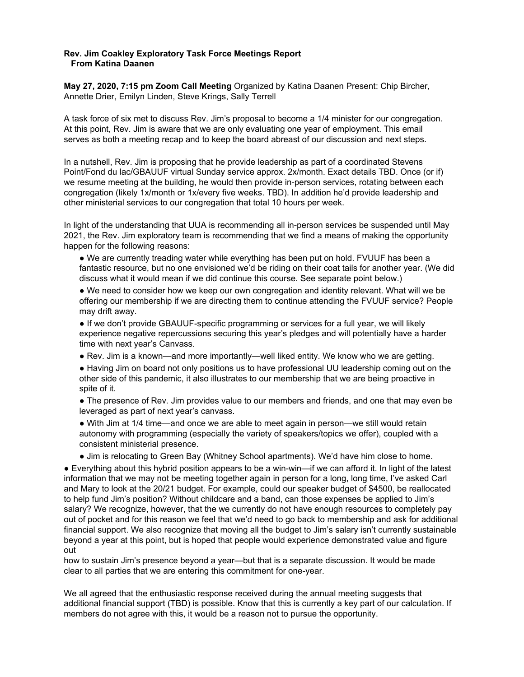## **Rev. Jim Coakley Exploratory Task Force Meetings Report From Katina Daanen**

**May 27, 2020, 7:15 pm Zoom Call Meeting** Organized by Katina Daanen Present: Chip Bircher, Annette Drier, Emilyn Linden, Steve Krings, Sally Terrell

A task force of six met to discuss Rev. Jim's proposal to become a 1/4 minister for our congregation. At this point, Rev. Jim is aware that we are only evaluating one year of employment. This email serves as both a meeting recap and to keep the board abreast of our discussion and next steps.

In a nutshell, Rev. Jim is proposing that he provide leadership as part of a coordinated Stevens Point/Fond du lac/GBAUUF virtual Sunday service approx. 2x/month. Exact details TBD. Once (or if) we resume meeting at the building, he would then provide in-person services, rotating between each congregation (likely 1x/month or 1x/every five weeks. TBD). In addition he'd provide leadership and other ministerial services to our congregation that total 10 hours per week.

In light of the understanding that UUA is recommending all in-person services be suspended until May 2021, the Rev. Jim exploratory team is recommending that we find a means of making the opportunity happen for the following reasons:

• We are currently treading water while everything has been put on hold. FVUUF has been a fantastic resource, but no one envisioned we'd be riding on their coat tails for another year. (We did discuss what it would mean if we did continue this course. See separate point below.)

● We need to consider how we keep our own congregation and identity relevant. What will we be offering our membership if we are directing them to continue attending the FVUUF service? People may drift away.

• If we don't provide GBAUUF-specific programming or services for a full year, we will likely experience negative repercussions securing this year's pledges and will potentially have a harder time with next year's Canvass.

● Rev. Jim is a known—and more importantly—well liked entity. We know who we are getting.

● Having Jim on board not only positions us to have professional UU leadership coming out on the other side of this pandemic, it also illustrates to our membership that we are being proactive in spite of it.

• The presence of Rev. Jim provides value to our members and friends, and one that may even be leveraged as part of next year's canvass.

● With Jim at 1/4 time—and once we are able to meet again in person—we still would retain autonomy with programming (especially the variety of speakers/topics we offer), coupled with a consistent ministerial presence.

● Jim is relocating to Green Bay (Whitney School apartments). We'd have him close to home.

● Everything about this hybrid position appears to be a win-win—if we can afford it. In light of the latest information that we may not be meeting together again in person for a long, long time, I've asked Carl and Mary to look at the 20/21 budget. For example, could our speaker budget of \$4500, be reallocated to help fund Jim's position? Without childcare and a band, can those expenses be applied to Jim's salary? We recognize, however, that the we currently do not have enough resources to completely pay out of pocket and for this reason we feel that we'd need to go back to membership and ask for additional financial support. We also recognize that moving all the budget to Jim's salary isn't currently sustainable beyond a year at this point, but is hoped that people would experience demonstrated value and figure out

how to sustain Jim's presence beyond a year—but that is a separate discussion. It would be made clear to all parties that we are entering this commitment for one-year.

We all agreed that the enthusiastic response received during the annual meeting suggests that additional financial support (TBD) is possible. Know that this is currently a key part of our calculation. If members do not agree with this, it would be a reason not to pursue the opportunity.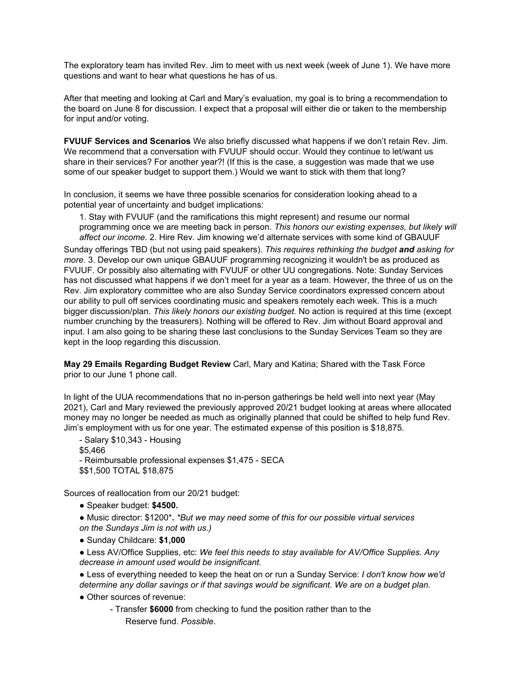The exploratory team has invited Rev. Jim to meet with us next week (week of June 1). We have more questions and want to hear what questions he has of us.

After that meeting and looking at Carl and Mary's evaluation, my goal is to bring a recommendation to the board on June 8 for discussion. I expect that a proposal will either die or taken to the membership for input and/or voting.

**FVUUF Services and Scenarios** We also briefly discussed what happens if we don't retain Rev. Jim. We recommend that a conversation with FVUUF should occur. Would they continue to let/want us share in their services? For another year?! (If this is the case, a suggestion was made that we use some of our speaker budget to support them.) Would we want to stick with them that long?

In conclusion, it seems we have three possible scenarios for consideration looking ahead to a potential year of uncertainty and budget implications:

1. Stay with FVUUF (and the ramifications this might represent) and resume our normal programming once we are meeting back in person. *This honors our existing expenses, but likely will affect our income.* 2. Hire Rev. Jim knowing we'd alternate services with some kind of GBAUUF Sunday offerings TBD (but not using paid speakers). *This requires rethinking the budget and asking for more.* 3. Develop our own unique GBAUUF programming recognizing it wouldn't be as produced as FVUUF. Or possibly also alternating with FVUUF or other UU congregations. Note: Sunday Services has not discussed what happens if we don't meet for a year as a team. However, the three of us on the Rev. Jim exploratory committee who are also Sunday Service coordinators expressed concern about our ability to pull off services coordinating music and speakers remotely each week. This is a much bigger discussion/plan. *This likely honors our existing budget.* No action is required at this time (except number crunching by the treasurers). Nothing will be offered to Rev. Jim without Board approval and input. I am also going to be sharing these last conclusions to the Sunday Services Team so they are kept in the loop regarding this discussion.

**May 29 Emails Regarding Budget Review** Carl, Mary and Katina; Shared with the Task Force prior to our June 1 phone call.

In light of the UUA recommendations that no in-person gatherings be held well into next year (May 2021), Carl and Mary reviewed the previously approved 20/21 budget looking at areas where allocated money may no longer be needed as much as originally planned that could be shifted to help fund Rev. Jim's employment with us for one year. The estimated expense of this position is \$18,875.

- Salary \$10,343 - Housing \$5,466 - Reimbursable professional expenses \$1,475 - SECA \$\$1,500 TOTAL \$18,875

Sources of reallocation from our 20/21 budget:

- Speaker budget: **\$4500.**
- Music director: \$1200\***.** *\*But we may need some of this for our possible virtual services on the Sundays Jim is not with us.)*
- Sunday Childcare: **\$1,000**
- Less AV/Office Supplies, etc: *We feel this needs to stay available for AV/Office Supplies. Any decrease in amount used would be insignificant.*
- Less of everything needed to keep the heat on or run a Sunday Service: *I don't know how we'd determine any dollar savings or if that savings would be significant. We are on a budget plan.*
- Other sources of revenue:
	- Transfer **\$6000** from checking to fund the position rather than to the Reserve fund. *Possible.*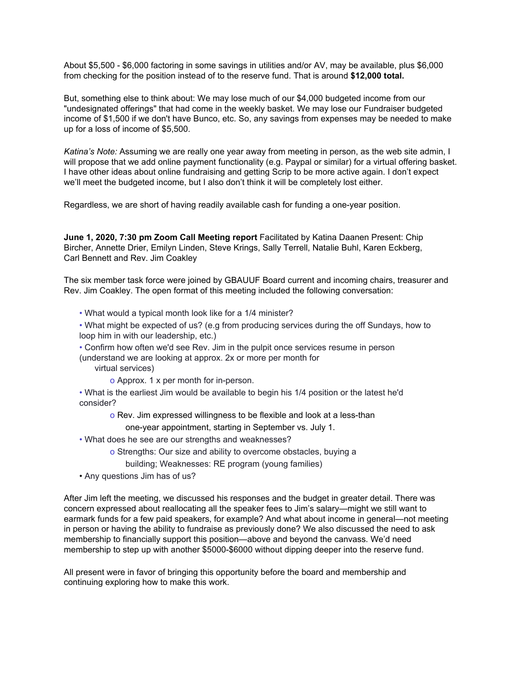About \$5,500 - \$6,000 factoring in some savings in utilities and/or AV, may be available, plus \$6,000 from checking for the position instead of to the reserve fund. That is around **\$12,000 total.**

But, something else to think about: We may lose much of our \$4,000 budgeted income from our "undesignated offerings" that had come in the weekly basket. We may lose our Fundraiser budgeted income of \$1,500 if we don't have Bunco, etc. So, any savings from expenses may be needed to make up for a loss of income of \$5,500.

*Katina's Note:* Assuming we are really one year away from meeting in person, as the web site admin, I will propose that we add online payment functionality (e.g. Paypal or similar) for a virtual offering basket. I have other ideas about online fundraising and getting Scrip to be more active again. I don't expect we'll meet the budgeted income, but I also don't think it will be completely lost either.

Regardless, we are short of having readily available cash for funding a one-year position.

**June 1, 2020, 7:30 pm Zoom Call Meeting report** Facilitated by Katina Daanen Present: Chip Bircher, Annette Drier, Emilyn Linden, Steve Krings, Sally Terrell, Natalie Buhl, Karen Eckberg, Carl Bennett and Rev. Jim Coakley

The six member task force were joined by GBAUUF Board current and incoming chairs, treasurer and Rev. Jim Coakley. The open format of this meeting included the following conversation:

• What would a typical month look like for a 1/4 minister?

- What might be expected of us? (e.g from producing services during the off Sundays, how to loop him in with our leadership, etc.)
- Confirm how often we'd see Rev. Jim in the pulpit once services resume in person

(understand we are looking at approx. 2x or more per month for

virtual services)

o Approx. 1 x per month for in-person.

• What is the earliest Jim would be available to begin his 1/4 position or the latest he'd consider?

o Rev. Jim expressed willingness to be flexible and look at a less-than

one-year appointment, starting in September vs. July 1.

- What does he see are our strengths and weaknesses?
	- o Strengths: Our size and ability to overcome obstacles, buying a

building; Weaknesses: RE program (young families)

• Any questions Jim has of us?

After Jim left the meeting, we discussed his responses and the budget in greater detail. There was concern expressed about reallocating all the speaker fees to Jim's salary—might we still want to earmark funds for a few paid speakers, for example? And what about income in general—not meeting in person or having the ability to fundraise as previously done? We also discussed the need to ask membership to financially support this position—above and beyond the canvass. We'd need membership to step up with another \$5000-\$6000 without dipping deeper into the reserve fund.

All present were in favor of bringing this opportunity before the board and membership and continuing exploring how to make this work.